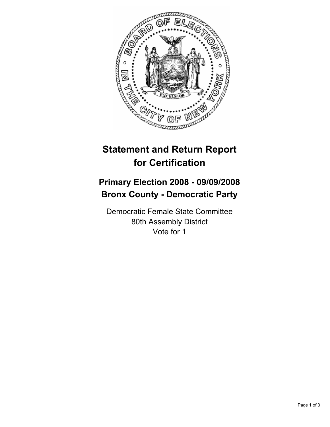

## **Statement and Return Report for Certification**

## **Primary Election 2008 - 09/09/2008 Bronx County - Democratic Party**

Democratic Female State Committee 80th Assembly District Vote for 1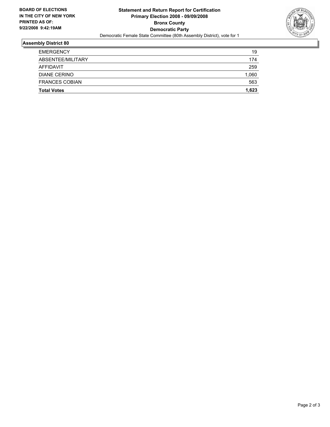

## **Assembly District 80**

| <b>Total Votes</b>    | 1,623 |
|-----------------------|-------|
| <b>FRANCES COBIAN</b> | 563   |
| DIANE CERINO          | 1,060 |
| AFFIDAVIT             | 259   |
| ABSENTEE/MILITARY     | 174   |
| <b>EMERGENCY</b>      | 19    |